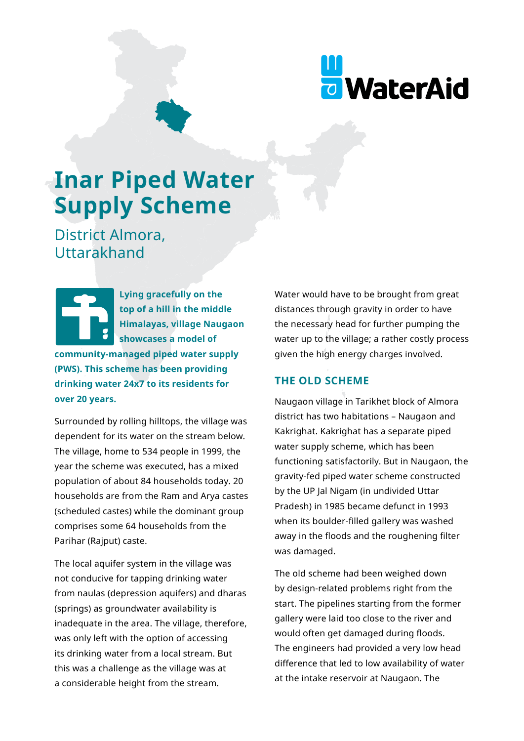

# **Inar Piped Water Supply Scheme**

District Almora, Uttarakhand

**Lying gracefully on the top of a hill in the middle Himalayas, village Naugaon showcases a model of community-managed piped water supply (PWS). This scheme has been providing drinking water 24x7 to its residents for over 20 years.** 

Surrounded by rolling hilltops, the village was dependent for its water on the stream below. The village, home to 534 people in 1999, the year the scheme was executed, has a mixed population of about 84 households today. 20 households are from the Ram and Arya castes (scheduled castes) while the dominant group comprises some 64 households from the Parihar (Rajput) caste.

The local aquifer system in the village was not conducive for tapping drinking water from naulas (depression aquifers) and dharas (springs) as groundwater availability is inadequate in the area. The village, therefore, was only left with the option of accessing its drinking water from a local stream. But this was a challenge as the village was at a considerable height from the stream.

Water would have to be brought from great distances through gravity in order to have the necessary head for further pumping the water up to the village; a rather costly process given the high energy charges involved.

## **THE OLD SCHEME**

Naugaon village in Tarikhet block of Almora district has two habitations – Naugaon and Kakrighat. Kakrighat has a separate piped water supply scheme, which has been functioning satisfactorily. But in Naugaon, the gravity-fed piped water scheme constructed by the UP Jal Nigam (in undivided Uttar Pradesh) in 1985 became defunct in 1993 when its boulder-filled gallery was washed away in the floods and the roughening filter was damaged.

The old scheme had been weighed down by design-related problems right from the start. The pipelines starting from the former gallery were laid too close to the river and would often get damaged during floods. The engineers had provided a very low head difference that led to low availability of water at the intake reservoir at Naugaon. The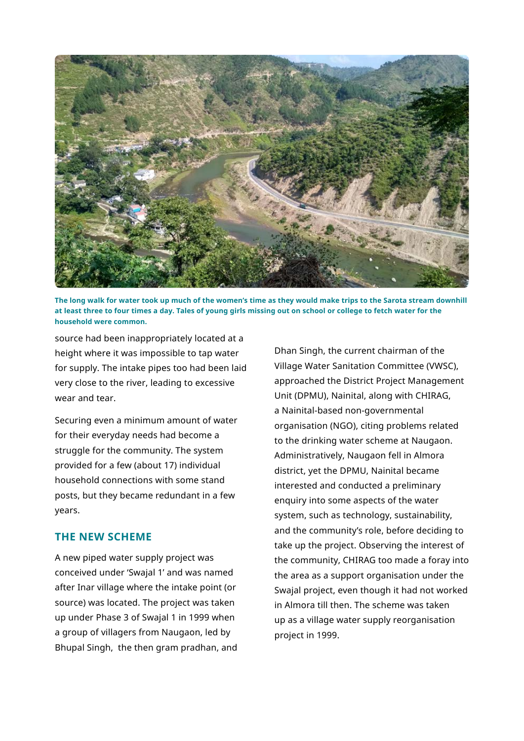

**The long walk for water took up much of the women's time as they would make trips to the Sarota stream downhill at least three to four times a day. Tales of young girls missing out on school or college to fetch water for the household were common.**

source had been inappropriately located at a height where it was impossible to tap water for supply. The intake pipes too had been laid very close to the river, leading to excessive wear and tear.

Securing even a minimum amount of water for their everyday needs had become a struggle for the community. The system provided for a few (about 17) individual household connections with some stand posts, but they became redundant in a few years.

## **THE NEW SCHEME**

A new piped water supply project was conceived under 'Swajal 1' and was named after Inar village where the intake point (or source) was located. The project was taken up under Phase 3 of Swajal 1 in 1999 when a group of villagers from Naugaon, led by Bhupal Singh, the then gram pradhan, and Dhan Singh, the current chairman of the Village Water Sanitation Committee (VWSC), approached the District Project Management Unit (DPMU), Nainital, along with CHIRAG, a Nainital-based non-governmental organisation (NGO), citing problems related to the drinking water scheme at Naugaon. Administratively, Naugaon fell in Almora district, yet the DPMU, Nainital became interested and conducted a preliminary enquiry into some aspects of the water system, such as technology, sustainability, and the community's role, before deciding to take up the project. Observing the interest of the community, CHIRAG too made a foray into the area as a support organisation under the Swajal project, even though it had not worked in Almora till then. The scheme was taken up as a village water supply reorganisation project in 1999.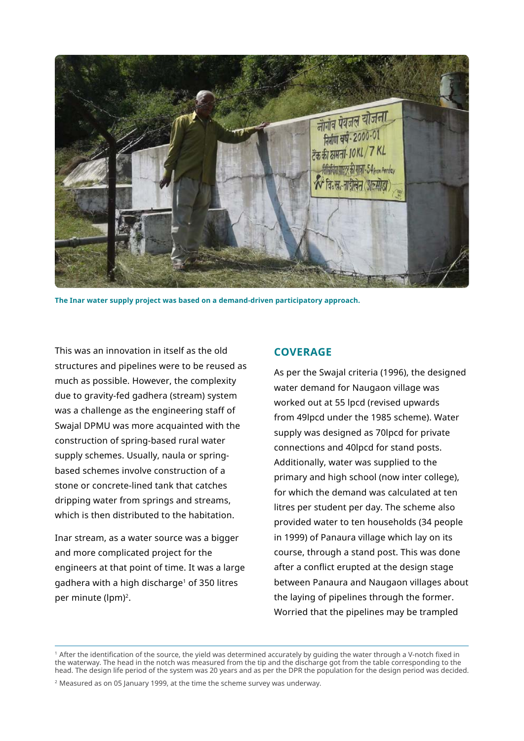

**The Inar water supply project was based on a demand-driven participatory approach.**

This was an innovation in itself as the old structures and pipelines were to be reused as much as possible. However, the complexity due to gravity-fed gadhera (stream) system was a challenge as the engineering staff of Swajal DPMU was more acquainted with the construction of spring-based rural water supply schemes. Usually, naula or springbased schemes involve construction of a stone or concrete-lined tank that catches dripping water from springs and streams, which is then distributed to the habitation.

Inar stream, as a water source was a bigger and more complicated project for the engineers at that point of time. It was a large gadhera with a high discharge<sup>1</sup> of 350 litres per minute (lpm)<sup>2</sup>.

## **COVERAGE**

As per the Swajal criteria (1996), the designed water demand for Naugaon village was worked out at 55 lpcd (revised upwards from 49lpcd under the 1985 scheme). Water supply was designed as 70lpcd for private connections and 40lpcd for stand posts. Additionally, water was supplied to the primary and high school (now inter college), for which the demand was calculated at ten litres per student per day. The scheme also provided water to ten households (34 people in 1999) of Panaura village which lay on its course, through a stand post. This was done after a conflict erupted at the design stage between Panaura and Naugaon villages about the laying of pipelines through the former. Worried that the pipelines may be trampled

<sup>1</sup>After the identification of the source, the yield was determined accurately by guiding the water through a V-notch fixed in the waterway. The head in the notch was measured from the tip and the discharge got from the table corresponding to the head. The design life period of the system was 20 years and as per the DPR the population for the design period was decided.

2 Measured as on 05 January 1999, at the time the scheme survey was underway.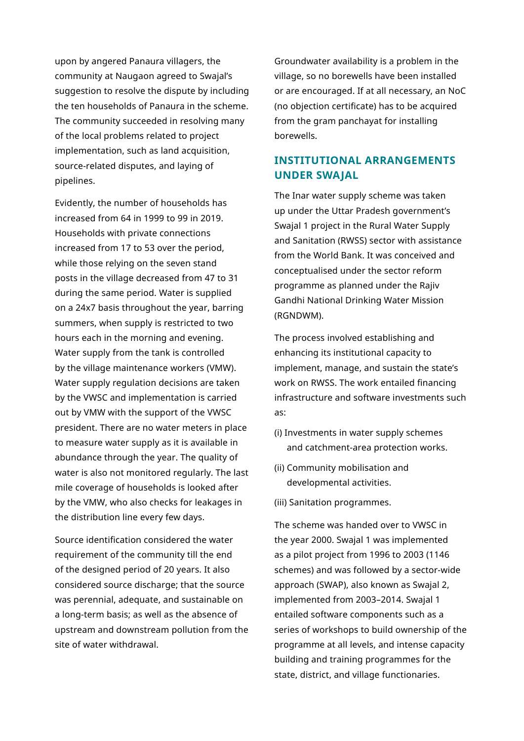upon by angered Panaura villagers, the community at Naugaon agreed to Swajal's suggestion to resolve the dispute by including the ten households of Panaura in the scheme. The community succeeded in resolving many of the local problems related to project implementation, such as land acquisition, source-related disputes, and laying of pipelines.

Evidently, the number of households has increased from 64 in 1999 to 99 in 2019. Households with private connections increased from 17 to 53 over the period, while those relying on the seven stand posts in the village decreased from 47 to 31 during the same period. Water is supplied on a 24x7 basis throughout the year, barring summers, when supply is restricted to two hours each in the morning and evening. Water supply from the tank is controlled by the village maintenance workers (VMW). Water supply regulation decisions are taken by the VWSC and implementation is carried out by VMW with the support of the VWSC president. There are no water meters in place to measure water supply as it is available in abundance through the year. The quality of water is also not monitored regularly. The last mile coverage of households is looked after by the VMW, who also checks for leakages in the distribution line every few days.

Source identification considered the water requirement of the community till the end of the designed period of 20 years. It also considered source discharge; that the source was perennial, adequate, and sustainable on a long-term basis; as well as the absence of upstream and downstream pollution from the site of water withdrawal.

Groundwater availability is a problem in the village, so no borewells have been installed or are encouraged. If at all necessary, an NoC (no objection certificate) has to be acquired from the gram panchayat for installing borewells.

# **INSTITUTIONAL ARRANGEMENTS UNDER SWAJAL**

The Inar water supply scheme was taken up under the Uttar Pradesh government's Swajal 1 project in the Rural Water Supply and Sanitation (RWSS) sector with assistance from the World Bank. It was conceived and conceptualised under the sector reform programme as planned under the Rajiv Gandhi National Drinking Water Mission (RGNDWM).

The process involved establishing and enhancing its institutional capacity to implement, manage, and sustain the state's work on RWSS. The work entailed financing infrastructure and software investments such as:

- (i) Investments in water supply schemes and catchment-area protection works.
- (ii) Community mobilisation and developmental activities.
- (iii) Sanitation programmes.

The scheme was handed over to VWSC in the year 2000. Swajal 1 was implemented as a pilot project from 1996 to 2003 (1146 schemes) and was followed by a sector-wide approach (SWAP), also known as Swajal 2, implemented from 2003–2014. Swajal 1 entailed software components such as a series of workshops to build ownership of the programme at all levels, and intense capacity building and training programmes for the state, district, and village functionaries.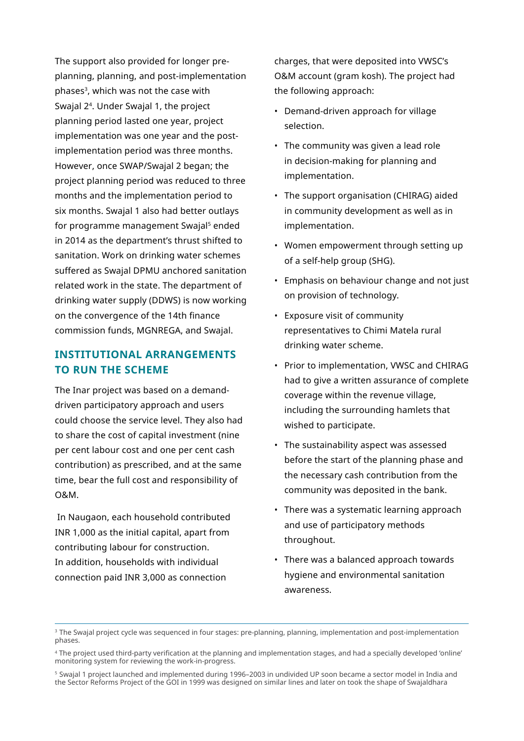The support also provided for longer preplanning, planning, and post-implementation phases<sup>3</sup>, which was not the case with Swajal 24. Under Swajal 1, the project planning period lasted one year, project implementation was one year and the postimplementation period was three months. However, once SWAP/Swajal 2 began; the project planning period was reduced to three months and the implementation period to six months. Swajal 1 also had better outlays for programme management Swajal<sup>5</sup> ended in 2014 as the department's thrust shifted to sanitation. Work on drinking water schemes suffered as Swajal DPMU anchored sanitation related work in the state. The department of drinking water supply (DDWS) is now working on the convergence of the 14th finance commission funds, MGNREGA, and Swajal.

# **INSTITUTIONAL ARRANGEMENTS TO RUN THE SCHEME**

The Inar project was based on a demanddriven participatory approach and users could choose the service level. They also had to share the cost of capital investment (nine per cent labour cost and one per cent cash contribution) as prescribed, and at the same time, bear the full cost and responsibility of O&M.

 In Naugaon, each household contributed INR 1,000 as the initial capital, apart from contributing labour for construction. In addition, households with individual connection paid INR 3,000 as connection

charges, that were deposited into VWSC's O&M account (gram kosh). The project had the following approach:

- Demand-driven approach for village selection.
- The community was given a lead role in decision-making for planning and implementation.
- The support organisation (CHIRAG) aided in community development as well as in implementation.
- Women empowerment through setting up of a self-help group (SHG).
- Emphasis on behaviour change and not just on provision of technology.
- Exposure visit of community representatives to Chimi Matela rural drinking water scheme.
- Prior to implementation, VWSC and CHIRAG had to give a written assurance of complete coverage within the revenue village, including the surrounding hamlets that wished to participate.
- The sustainability aspect was assessed before the start of the planning phase and the necessary cash contribution from the community was deposited in the bank.
- There was a systematic learning approach and use of participatory methods throughout.
- There was a balanced approach towards hygiene and environmental sanitation awareness.

<sup>&</sup>lt;sup>3</sup> The Swajal project cycle was sequenced in four stages: pre-planning, planning, implementation and post-implementation phases.

<sup>4</sup> The project used third-party verification at the planning and implementation stages, and had a specially developed 'online' monitoring system for reviewing the work-in-progress.

<sup>5</sup> Swajal 1 project launched and implemented during 1996–2003 in undivided UP soon became a sector model in India and the Sector Reforms Project of the GOI in 1999 was designed on similar lines and later on took the shape of Swajaldhara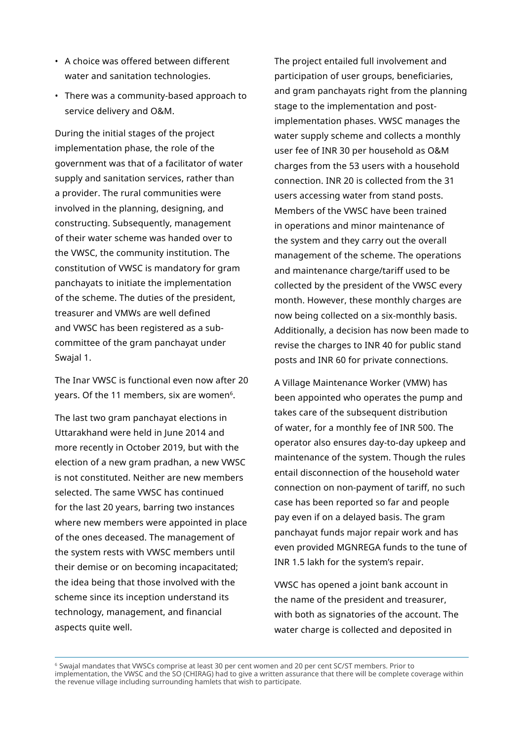- A choice was offered between different water and sanitation technologies.
- There was a community-based approach to service delivery and O&M.

During the initial stages of the project implementation phase, the role of the government was that of a facilitator of water supply and sanitation services, rather than a provider. The rural communities were involved in the planning, designing, and constructing. Subsequently, management of their water scheme was handed over to the VWSC, the community institution. The constitution of VWSC is mandatory for gram panchayats to initiate the implementation of the scheme. The duties of the president, treasurer and VMWs are well defined and VWSC has been registered as a subcommittee of the gram panchayat under Swajal 1.

The Inar VWSC is functional even now after 20 years. Of the 11 members, six are women<sup>6</sup>.

The last two gram panchayat elections in Uttarakhand were held in June 2014 and more recently in October 2019, but with the election of a new gram pradhan, a new VWSC is not constituted. Neither are new members selected. The same VWSC has continued for the last 20 years, barring two instances where new members were appointed in place of the ones deceased. The management of the system rests with VWSC members until their demise or on becoming incapacitated; the idea being that those involved with the scheme since its inception understand its technology, management, and financial aspects quite well.

The project entailed full involvement and participation of user groups, beneficiaries, and gram panchayats right from the planning stage to the implementation and postimplementation phases. VWSC manages the water supply scheme and collects a monthly user fee of INR 30 per household as O&M charges from the 53 users with a household connection. INR 20 is collected from the 31 users accessing water from stand posts. Members of the VWSC have been trained in operations and minor maintenance of the system and they carry out the overall management of the scheme. The operations and maintenance charge/tariff used to be collected by the president of the VWSC every month. However, these monthly charges are now being collected on a six-monthly basis. Additionally, a decision has now been made to revise the charges to INR 40 for public stand posts and INR 60 for private connections.

A Village Maintenance Worker (VMW) has been appointed who operates the pump and takes care of the subsequent distribution of water, for a monthly fee of INR 500. The operator also ensures day-to-day upkeep and maintenance of the system. Though the rules entail disconnection of the household water connection on non-payment of tariff, no such case has been reported so far and people pay even if on a delayed basis. The gram panchayat funds major repair work and has even provided MGNREGA funds to the tune of INR 1.5 lakh for the system's repair.

VWSC has opened a joint bank account in the name of the president and treasurer, with both as signatories of the account. The water charge is collected and deposited in

6 Swajal mandates that VWSCs comprise at least 30 per cent women and 20 per cent SC/ST members. Prior to implementation, the VWSC and the SO (CHIRAG) had to give a written assurance that there will be complete coverage within the revenue village including surrounding hamlets that wish to participate.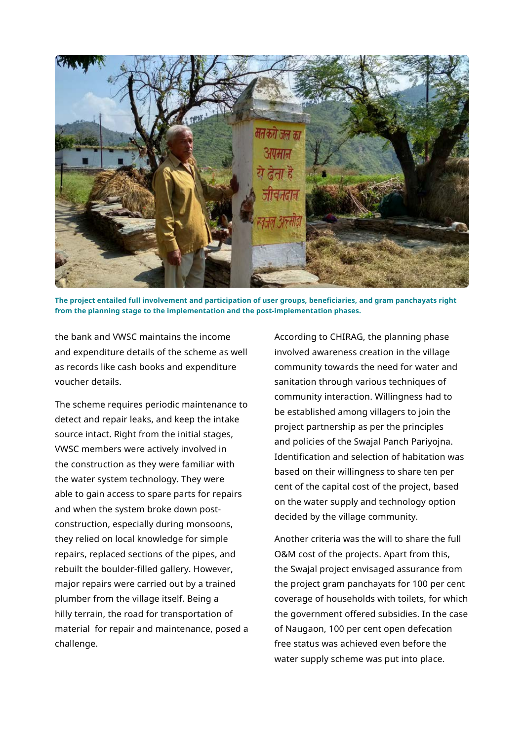

**The project entailed full involvement and participation of user groups, beneficiaries, and gram panchayats right from the planning stage to the implementation and the post-implementation phases.**

the bank and VWSC maintains the income and expenditure details of the scheme as well as records like cash books and expenditure voucher details.

The scheme requires periodic maintenance to detect and repair leaks, and keep the intake source intact. Right from the initial stages, VWSC members were actively involved in the construction as they were familiar with the water system technology. They were able to gain access to spare parts for repairs and when the system broke down postconstruction, especially during monsoons, they relied on local knowledge for simple repairs, replaced sections of the pipes, and rebuilt the boulder-filled gallery. However, major repairs were carried out by a trained plumber from the village itself. Being a hilly terrain, the road for transportation of material for repair and maintenance, posed a challenge.

According to CHIRAG, the planning phase involved awareness creation in the village community towards the need for water and sanitation through various techniques of community interaction. Willingness had to be established among villagers to join the project partnership as per the principles and policies of the Swajal Panch Pariyojna. Identification and selection of habitation was based on their willingness to share ten per cent of the capital cost of the project, based on the water supply and technology option decided by the village community.

Another criteria was the will to share the full O&M cost of the projects. Apart from this, the Swajal project envisaged assurance from the project gram panchayats for 100 per cent coverage of households with toilets, for which the government offered subsidies. In the case of Naugaon, 100 per cent open defecation free status was achieved even before the water supply scheme was put into place.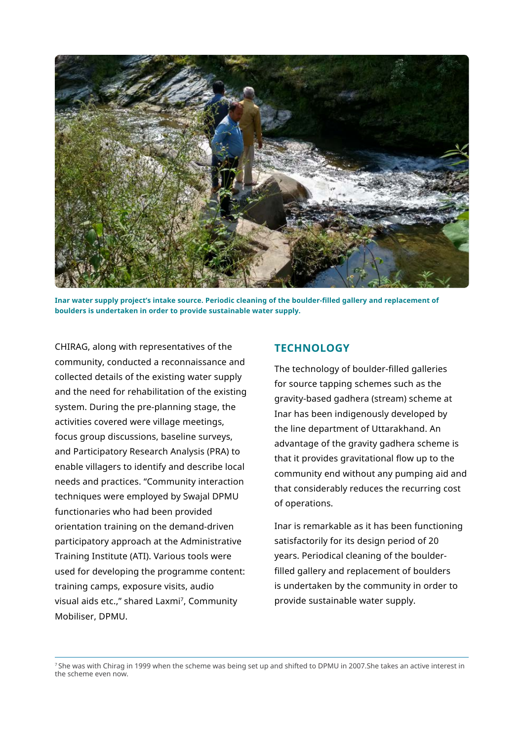

**Inar water supply project's intake source. Periodic cleaning of the boulder-filled gallery and replacement of boulders is undertaken in order to provide sustainable water supply.**

CHIRAG, along with representatives of the community, conducted a reconnaissance and collected details of the existing water supply and the need for rehabilitation of the existing system. During the pre-planning stage, the activities covered were village meetings, focus group discussions, baseline surveys, and Participatory Research Analysis (PRA) to enable villagers to identify and describe local needs and practices. "Community interaction techniques were employed by Swajal DPMU functionaries who had been provided orientation training on the demand-driven participatory approach at the Administrative Training Institute (ATI). Various tools were used for developing the programme content: training camps, exposure visits, audio visual aids etc.," shared Laxmi<sup>7</sup>, Community Mobiliser, DPMU.

## **TECHNOLOGY**

The technology of boulder-filled galleries for source tapping schemes such as the gravity-based gadhera (stream) scheme at Inar has been indigenously developed by the line department of Uttarakhand. An advantage of the gravity gadhera scheme is that it provides gravitational flow up to the community end without any pumping aid and that considerably reduces the recurring cost of operations.

Inar is remarkable as it has been functioning satisfactorily for its design period of 20 years. Periodical cleaning of the boulderfilled gallery and replacement of boulders is undertaken by the community in order to provide sustainable water supply.

7 She was with Chirag in 1999 when the scheme was being set up and shifted to DPMU in 2007.She takes an active interest in the scheme even now.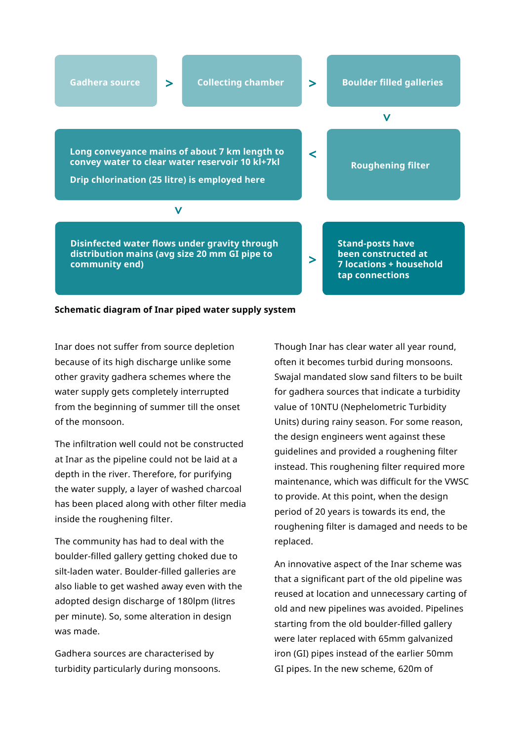

#### **Schematic diagram of Inar piped water supply system**

Inar does not suffer from source depletion because of its high discharge unlike some other gravity gadhera schemes where the water supply gets completely interrupted from the beginning of summer till the onset of the monsoon.

The infiltration well could not be constructed at Inar as the pipeline could not be laid at a depth in the river. Therefore, for purifying the water supply, a layer of washed charcoal has been placed along with other filter media inside the roughening filter.

The community has had to deal with the boulder-filled gallery getting choked due to silt-laden water. Boulder-filled galleries are also liable to get washed away even with the adopted design discharge of 180lpm (litres per minute). So, some alteration in design was made.

Gadhera sources are characterised by turbidity particularly during monsoons. Though Inar has clear water all year round, often it becomes turbid during monsoons. Swajal mandated slow sand filters to be built for gadhera sources that indicate a turbidity value of 10NTU (Nephelometric Turbidity Units) during rainy season. For some reason, the design engineers went against these guidelines and provided a roughening filter instead. This roughening filter required more maintenance, which was difficult for the VWSC to provide. At this point, when the design period of 20 years is towards its end, the roughening filter is damaged and needs to be replaced.

An innovative aspect of the Inar scheme was that a significant part of the old pipeline was reused at location and unnecessary carting of old and new pipelines was avoided. Pipelines starting from the old boulder-filled gallery were later replaced with 65mm galvanized iron (GI) pipes instead of the earlier 50mm GI pipes. In the new scheme, 620m of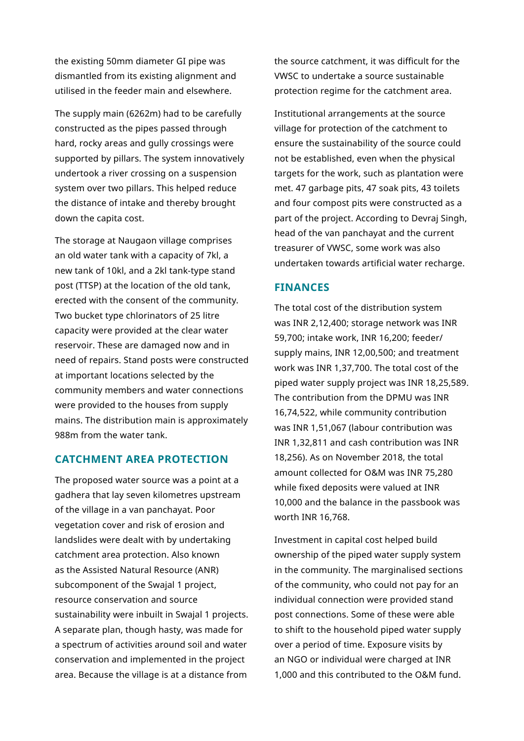the existing 50mm diameter GI pipe was dismantled from its existing alignment and utilised in the feeder main and elsewhere.

The supply main (6262m) had to be carefully constructed as the pipes passed through hard, rocky areas and gully crossings were supported by pillars. The system innovatively undertook a river crossing on a suspension system over two pillars. This helped reduce the distance of intake and thereby brought down the capita cost.

The storage at Naugaon village comprises an old water tank with a capacity of 7kl, a new tank of 10kl, and a 2kl tank-type stand post (TTSP) at the location of the old tank, erected with the consent of the community. Two bucket type chlorinators of 25 litre capacity were provided at the clear water reservoir. These are damaged now and in need of repairs. Stand posts were constructed at important locations selected by the community members and water connections were provided to the houses from supply mains. The distribution main is approximately 988m from the water tank.

#### **CATCHMENT AREA PROTECTION**

The proposed water source was a point at a gadhera that lay seven kilometres upstream of the village in a van panchayat. Poor vegetation cover and risk of erosion and landslides were dealt with by undertaking catchment area protection. Also known as the Assisted Natural Resource (ANR) subcomponent of the Swajal 1 project, resource conservation and source sustainability were inbuilt in Swajal 1 projects. A separate plan, though hasty, was made for a spectrum of activities around soil and water conservation and implemented in the project area. Because the village is at a distance from

the source catchment, it was difficult for the VWSC to undertake a source sustainable protection regime for the catchment area.

Institutional arrangements at the source village for protection of the catchment to ensure the sustainability of the source could not be established, even when the physical targets for the work, such as plantation were met. 47 garbage pits, 47 soak pits, 43 toilets and four compost pits were constructed as a part of the project. According to Devraj Singh, head of the van panchayat and the current treasurer of VWSC, some work was also undertaken towards artificial water recharge.

#### **FINANCES**

The total cost of the distribution system was INR 2,12,400; storage network was INR 59,700; intake work, INR 16,200; feeder/ supply mains, INR 12,00,500; and treatment work was INR 1,37,700. The total cost of the piped water supply project was INR 18,25,589. The contribution from the DPMU was INR 16,74,522, while community contribution was INR 1,51,067 (labour contribution was INR 1,32,811 and cash contribution was INR 18,256). As on November 2018, the total amount collected for O&M was INR 75,280 while fixed deposits were valued at INR 10,000 and the balance in the passbook was worth INR 16,768.

Investment in capital cost helped build ownership of the piped water supply system in the community. The marginalised sections of the community, who could not pay for an individual connection were provided stand post connections. Some of these were able to shift to the household piped water supply over a period of time. Exposure visits by an NGO or individual were charged at INR 1,000 and this contributed to the O&M fund.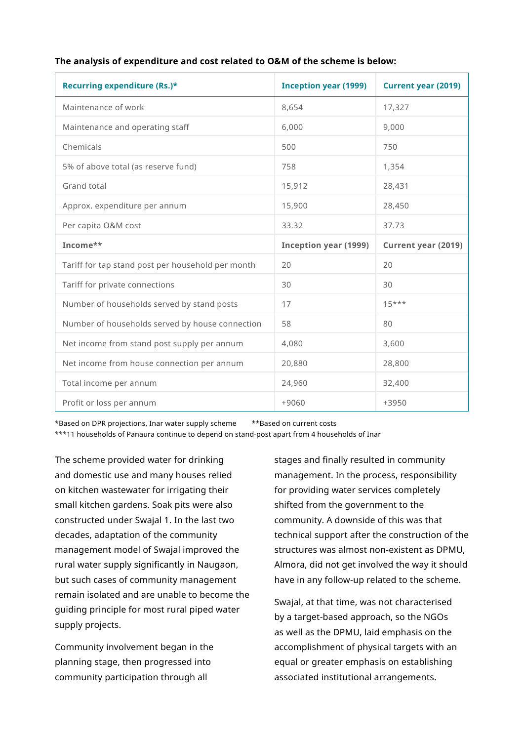|  | The analysis of expenditure and cost related to O&M of the scheme is below: |
|--|-----------------------------------------------------------------------------|
|  |                                                                             |

| Recurring expenditure (Rs.)*                      | <b>Inception year (1999)</b> | <b>Current year (2019)</b> |
|---------------------------------------------------|------------------------------|----------------------------|
| Maintenance of work                               | 8,654                        | 17,327                     |
| Maintenance and operating staff                   | 6,000                        | 9,000                      |
| Chemicals                                         | 500                          | 750                        |
| 5% of above total (as reserve fund)               | 758                          | 1,354                      |
| Grand total                                       | 15,912                       | 28,431                     |
| Approx. expenditure per annum                     | 15,900                       | 28,450                     |
| Per capita O&M cost                               | 33.32                        | 37.73                      |
| Income**                                          | <b>Inception year (1999)</b> | <b>Current year (2019)</b> |
| Tariff for tap stand post per household per month | 20                           | 20                         |
| Tariff for private connections                    | 30                           | 30                         |
| Number of households served by stand posts        | 17                           | $15***$                    |
| Number of households served by house connection   | 58                           | 80                         |
| Net income from stand post supply per annum       | 4,080                        | 3,600                      |
| Net income from house connection per annum        | 20,880                       | 28,800                     |
| Total income per annum                            | 24,960                       | 32,400                     |
| Profit or loss per annum                          | $+9060$                      | +3950                      |

\*Based on DPR projections, Inar water supply scheme \*\*Based on current costs \*\*\*11 households of Panaura continue to depend on stand-post apart from 4 households of Inar

The scheme provided water for drinking and domestic use and many houses relied on kitchen wastewater for irrigating their small kitchen gardens. Soak pits were also constructed under Swajal 1. In the last two decades, adaptation of the community management model of Swajal improved the rural water supply significantly in Naugaon, but such cases of community management remain isolated and are unable to become the guiding principle for most rural piped water supply projects.

Community involvement began in the planning stage, then progressed into community participation through all

stages and finally resulted in community management. In the process, responsibility for providing water services completely shifted from the government to the community. A downside of this was that technical support after the construction of the structures was almost non-existent as DPMU, Almora, did not get involved the way it should have in any follow-up related to the scheme.

Swajal, at that time, was not characterised by a target-based approach, so the NGOs as well as the DPMU, laid emphasis on the accomplishment of physical targets with an equal or greater emphasis on establishing associated institutional arrangements.